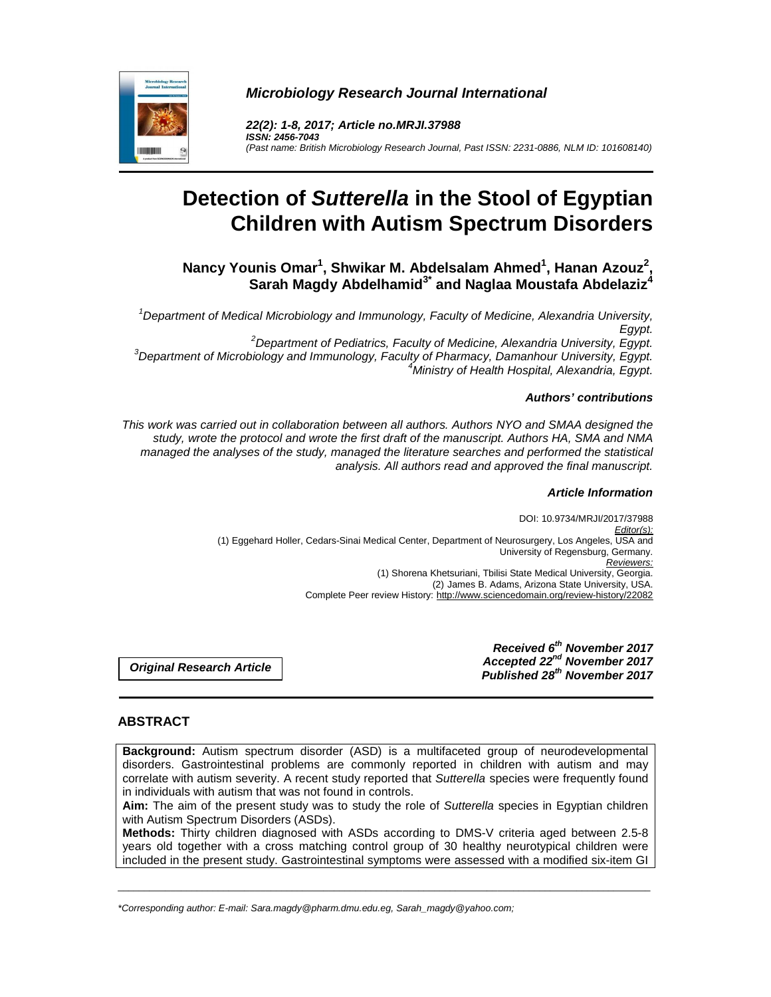

**Microbiology Research Journal International** 

**22(2): 1-8, 2017; Article no.MRJI.37988 ISSN: 2456-7043**  (Past name: British Microbiology Research Journal, Past ISSN: 2231-0886, NLM ID: 101608140)

# **Detection of Sutterella in the Stool of Egyptian Children with Autism Spectrum Disorders**

**Nancy Younis Omar<sup>1</sup> , Shwikar M. Abdelsalam Ahmed<sup>1</sup> , Hanan Azouz<sup>2</sup> , Sarah Magdy Abdelhamid3\* and Naglaa Moustafa Abdelaziz<sup>4</sup>**

 $1$ Department of Medical Microbiology and Immunology, Faculty of Medicine, Alexandria University, Egypt. <sup>2</sup>Department of Pediatrics, Faculty of Medicine, Alexandria University, Egypt.

 $3$ Department of Microbiology and Immunology, Faculty of Pharmacy, Damanhour University, Egypt. <sup>4</sup>Ministry of Health Hospital, Alexandria, Egypt.

## **Authors' contributions**

This work was carried out in collaboration between all authors. Authors NYO and SMAA designed the study, wrote the protocol and wrote the first draft of the manuscript. Authors HA, SMA and NMA managed the analyses of the study, managed the literature searches and performed the statistical analysis. All authors read and approved the final manuscript.

## **Article Information**

DOI: 10.9734/MRJI/2017/37988 Editor(s): (1) Eggehard Holler, Cedars-Sinai Medical Center, Department of Neurosurgery, Los Angeles, USA and University of Regensburg, Germany. Reviewers: (1) Shorena Khetsuriani, Tbilisi State Medical University, Georgia. (2) James B. Adams, Arizona State University, USA. Complete Peer review History: http://www.sciencedomain.org/review-history/22082

**Original Research Article** 

**Received 6th November 2017 Accepted 22nd November 2017 Published 28th November 2017**

# **ABSTRACT**

**Background:** Autism spectrum disorder (ASD) is a multifaceted group of neurodevelopmental disorders. Gastrointestinal problems are commonly reported in children with autism and may correlate with autism severity. A recent study reported that Sutterella species were frequently found in individuals with autism that was not found in controls.

**Aim:** The aim of the present study was to study the role of Sutterella species in Egyptian children with Autism Spectrum Disorders (ASDs).

**Methods:** Thirty children diagnosed with ASDs according to DMS-V criteria aged between 2.5-8 years old together with a cross matching control group of 30 healthy neurotypical children were included in the present study. Gastrointestinal symptoms were assessed with a modified six-item GI

\_\_\_\_\_\_\_\_\_\_\_\_\_\_\_\_\_\_\_\_\_\_\_\_\_\_\_\_\_\_\_\_\_\_\_\_\_\_\_\_\_\_\_\_\_\_\_\_\_\_\_\_\_\_\_\_\_\_\_\_\_\_\_\_\_\_\_\_\_\_\_\_\_\_\_\_\_\_\_\_\_\_\_\_\_\_\_\_\_\_\_\_\_\_\_\_\_\_\_\_\_

\*Corresponding author: E-mail: Sara.magdy@pharm.dmu.edu.eg, Sarah\_magdy@yahoo.com;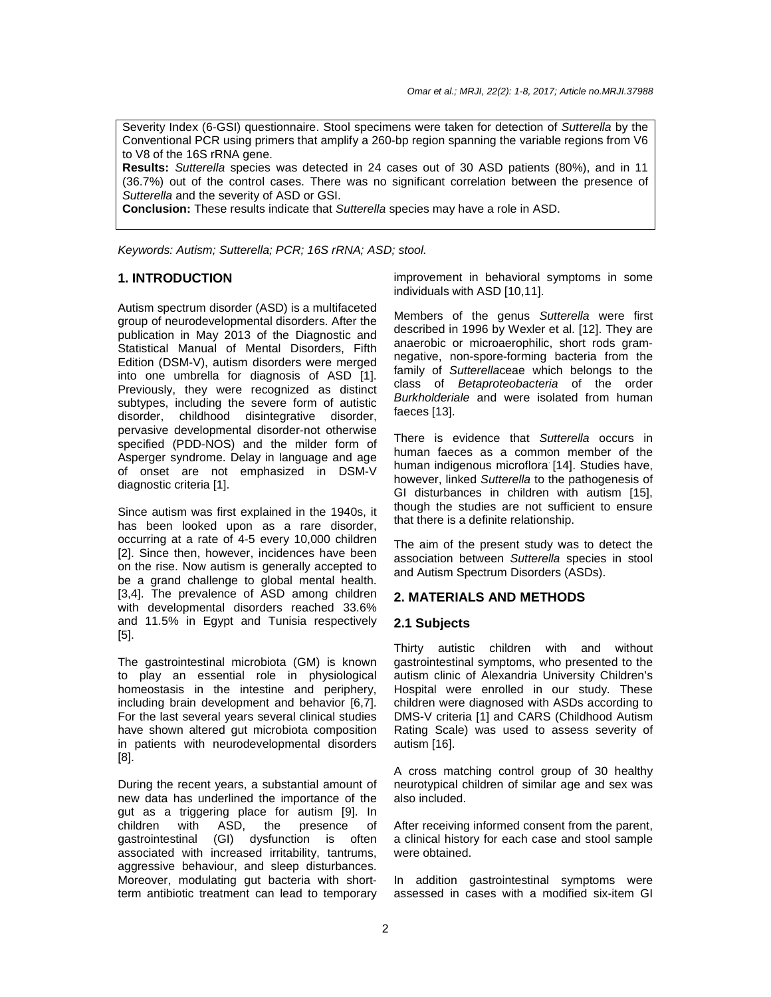Severity Index (6-GSI) questionnaire. Stool specimens were taken for detection of Sutterella by the Conventional PCR using primers that amplify a 260-bp region spanning the variable regions from V6 to V8 of the 16S rRNA gene.

**Results:** Sutterella species was detected in 24 cases out of 30 ASD patients (80%), and in 11 (36.7%) out of the control cases. There was no significant correlation between the presence of Sutterella and the severity of ASD or GSI.

**Conclusion:** These results indicate that Sutterella species may have a role in ASD.

Keywords: Autism; Sutterella; PCR; 16S rRNA; ASD; stool.

#### **1. INTRODUCTION**

Autism spectrum disorder (ASD) is a multifaceted group of neurodevelopmental disorders. After the publication in May 2013 of the Diagnostic and Statistical Manual of Mental Disorders, Fifth Edition (DSM-V), autism disorders were merged into one umbrella for diagnosis of ASD [1]. Previously, they were recognized as distinct subtypes, including the severe form of autistic disorder, childhood disintegrative disorder, pervasive developmental disorder-not otherwise specified (PDD-NOS) and the milder form of Asperger syndrome. Delay in language and age of onset are not emphasized in DSM-V diagnostic criteria [1].

Since autism was first explained in the 1940s, it has been looked upon as a rare disorder, occurring at a rate of 4-5 every 10,000 children [2]. Since then, however, incidences have been on the rise. Now autism is generally accepted to be a grand challenge to global mental health. [3,4]. The prevalence of ASD among children with developmental disorders reached 33.6% and 11.5% in Egypt and Tunisia respectively [5].

The gastrointestinal microbiota (GM) is known to play an essential role in physiological homeostasis in the intestine and periphery, including brain development and behavior [6,7]. For the last several years several clinical studies have shown altered gut microbiota composition in patients with neurodevelopmental disorders [8].

During the recent years, a substantial amount of new data has underlined the importance of the gut as a triggering place for autism [9]. In children with ASD, the presence of gastrointestinal (GI) dysfunction is often associated with increased irritability, tantrums, aggressive behaviour, and sleep disturbances. Moreover, modulating gut bacteria with shortterm antibiotic treatment can lead to temporary improvement in behavioral symptoms in some individuals with ASD [10,11].

Members of the genus Sutterella were first described in 1996 by Wexler et al. [12]. They are anaerobic or microaerophilic, short rods gramnegative, non-spore-forming bacteria from the family of Sutterellaceae which belongs to the class of Betaproteobacteria of the order Burkholderiale and were isolated from human faeces [13].

There is evidence that Sutterella occurs in human faeces as a common member of the human indigenous microflora [14]. Studies have, however, linked Sutterella to the pathogenesis of GI disturbances in children with autism [15], though the studies are not sufficient to ensure that there is a definite relationship.

The aim of the present study was to detect the association between Sutterella species in stool and Autism Spectrum Disorders (ASDs).

#### **2. MATERIALS AND METHODS**

#### **2.1 Subjects**

Thirty autistic children with and without gastrointestinal symptoms, who presented to the autism clinic of Alexandria University Children's Hospital were enrolled in our study. These children were diagnosed with ASDs according to DMS-V criteria [1] and CARS (Childhood Autism Rating Scale) was used to assess severity of autism [16].

A cross matching control group of 30 healthy neurotypical children of similar age and sex was also included.

After receiving informed consent from the parent, a clinical history for each case and stool sample were obtained.

In addition gastrointestinal symptoms were assessed in cases with a modified six-item GI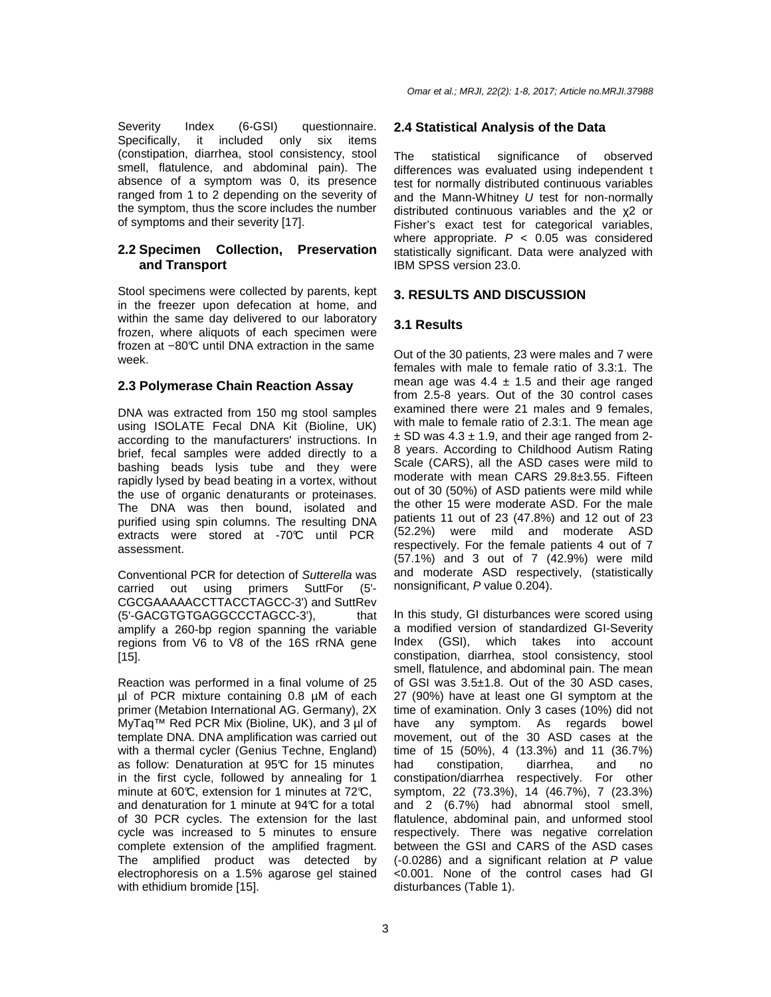Severity Index (6-GSI) questionnaire. Specifically, it included only six items (constipation, diarrhea, stool consistency, stool smell, flatulence, and abdominal pain). The absence of a symptom was 0, its presence ranged from 1 to 2 depending on the severity of the symptom, thus the score includes the number of symptoms and their severity [17].

## **2.2 Specimen Collection, Preservation and Transport**

Stool specimens were collected by parents, kept in the freezer upon defecation at home, and within the same day delivered to our laboratory frozen, where aliquots of each specimen were frozen at −80°C until DNA extraction in the same week.

# **2.3 Polymerase Chain Reaction Assay**

DNA was extracted from 150 mg stool samples using ISOLATE Fecal DNA Kit (Bioline, UK) according to the manufacturers' instructions. In brief, fecal samples were added directly to a bashing beads lysis tube and they were rapidly lysed by bead beating in a vortex, without the use of organic denaturants or proteinases. The DNA was then bound, isolated and purified using spin columns. The resulting DNA extracts were stored at -70°C until PCR assessment.

Conventional PCR for detection of Sutterella was carried out using primers SuttFor (5'- CGCGAAAAACCTTACCTAGCC-3') and SuttRev (5'-GACGTGTGAGGCCCTAGCC-3'), that amplify a 260-bp region spanning the variable regions from V6 to V8 of the 16S rRNA gene [15].

Reaction was performed in a final volume of 25 µl of PCR mixture containing 0.8 µM of each primer (Metabion International AG. Germany), 2X MyTaq™ Red PCR Mix (Bioline, UK), and 3 µl of template DNA. DNA amplification was carried out with a thermal cycler (Genius Techne, England) as follow: Denaturation at 95°C for 15 minutes in the first cycle, followed by annealing for 1 minute at 60°C, extension for 1 minutes at 72°C. and denaturation for 1 minute at  $94<sup>°</sup>C$  for a total of 30 PCR cycles. The extension for the last cycle was increased to 5 minutes to ensure complete extension of the amplified fragment. The amplified product was detected by electrophoresis on a 1.5% agarose gel stained with ethidium bromide [15].

# **2.4 Statistical Analysis of the Data**

The statistical significance of observed differences was evaluated using independent t test for normally distributed continuous variables and the Mann-Whitney U test for non-normally distributed continuous variables and the χ2 or Fisher's exact test for categorical variables, where appropriate.  $P < 0.05$  was considered statistically significant. Data were analyzed with IBM SPSS version 23.0.

# **3. RESULTS AND DISCUSSION**

# **3.1 Results**

Out of the 30 patients, 23 were males and 7 were females with male to female ratio of 3.3:1. The mean age was  $4.4 \pm 1.5$  and their age ranged from 2.5-8 years. Out of the 30 control cases examined there were 21 males and 9 females, with male to female ratio of 2.3:1. The mean age  $\pm$  SD was 4.3  $\pm$  1.9, and their age ranged from 2-8 years. According to Childhood Autism Rating Scale (CARS), all the ASD cases were mild to moderate with mean CARS 29.8±3.55. Fifteen out of 30 (50%) of ASD patients were mild while the other 15 were moderate ASD. For the male patients 11 out of 23 (47.8%) and 12 out of 23 (52.2%) were mild and moderate ASD respectively. For the female patients 4 out of 7 (57.1%) and 3 out of 7 (42.9%) were mild and moderate ASD respectively, (statistically nonsignificant, P value 0.204).

In this study, GI disturbances were scored using a modified version of standardized GI-Severity Index (GSI), which takes into account constipation, diarrhea, stool consistency, stool smell, flatulence, and abdominal pain. The mean of GSI was 3.5±1.8. Out of the 30 ASD cases, 27 (90%) have at least one GI symptom at the time of examination. Only 3 cases (10%) did not have any symptom. As regards bowel movement, out of the 30 ASD cases at the time of 15 (50%), 4 (13.3%) and 11 (36.7%) had constipation, diarrhea, and no constipation/diarrhea respectively. For other symptom, 22 (73.3%), 14 (46.7%), 7 (23.3%) and 2 (6.7%) had abnormal stool smell, flatulence, abdominal pain, and unformed stool respectively. There was negative correlation between the GSI and CARS of the ASD cases (-0.0286) and a significant relation at P value <0.001. None of the control cases had GI disturbances (Table 1).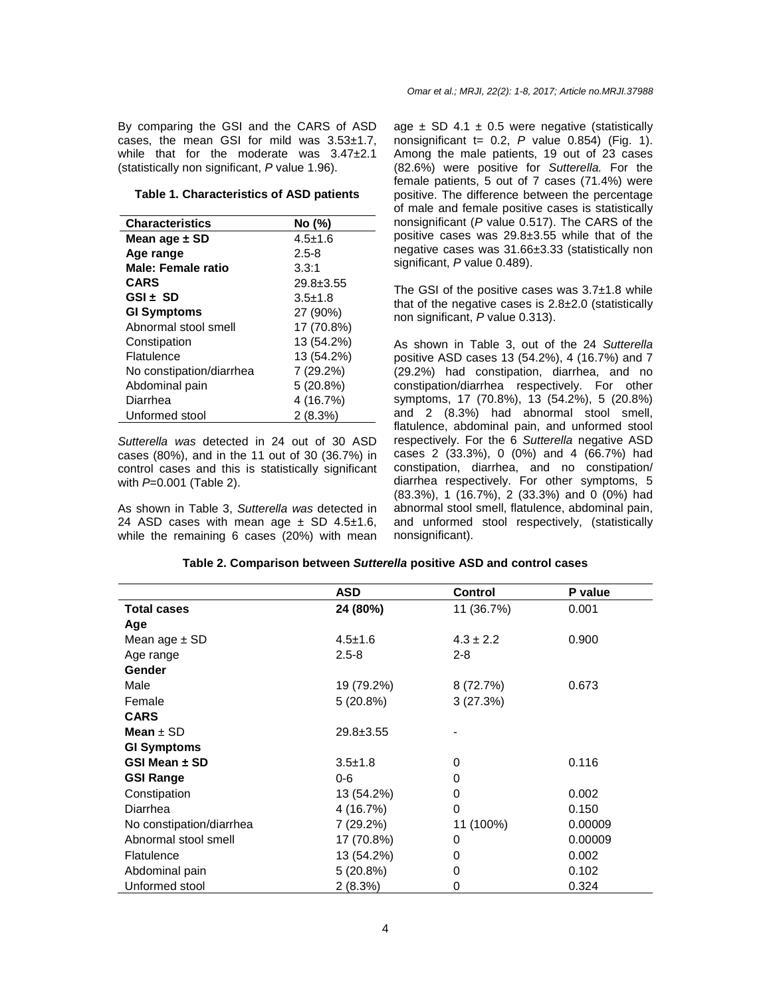By comparing the GSI and the CARS of ASD cases, the mean GSI for mild was 3.53±1.7, while that for the moderate was 3.47±2.1 (statistically non significant, P value 1.96).

#### **Table 1. Characteristics of ASD patients**

| <b>Characteristics</b>   | No (%)        |
|--------------------------|---------------|
| Mean age ± SD            | $4.5 \pm 1.6$ |
| Age range                | $2.5 - 8$     |
| Male: Female ratio       | 3.3:1         |
| <b>CARS</b>              | $29.8 + 3.55$ |
| $GSI + SD$               | $3.5 \pm 1.8$ |
| <b>GI Symptoms</b>       | 27 (90%)      |
| Abnormal stool smell     | 17 (70.8%)    |
| Constipation             | 13 (54.2%)    |
| Flatulence               | 13 (54.2%)    |
| No constipation/diarrhea | 7 (29.2%)     |
| Abdominal pain           | 5(20.8%)      |
| Diarrhea                 | 4 (16.7%)     |
| Unformed stool           | 2(8.3%)       |

Sutterella was detected in 24 out of 30 ASD cases (80%), and in the 11 out of 30 (36.7%) in control cases and this is statistically significant with  $P=0.001$  (Table 2).

As shown in Table 3, Sutterella was detected in 24 ASD cases with mean age  $\pm$  SD 4.5 $\pm$ 1.6, while the remaining 6 cases (20%) with mean age  $\pm$  SD 4.1  $\pm$  0.5 were negative (statistically nonsignificant  $t = 0.2$ , P value 0.854) (Fig. 1). Among the male patients, 19 out of 23 cases (82.6%) were positive for Sutterella. For the female patients, 5 out of 7 cases (71.4%) were positive. The difference between the percentage of male and female positive cases is statistically nonsignificant (P value 0.517). The CARS of the positive cases was 29.8±3.55 while that of the negative cases was 31.66±3.33 (statistically non significant, P value 0.489).

The GSI of the positive cases was 3.7±1.8 while that of the negative cases is 2.8±2.0 (statistically non significant, P value 0.313).

As shown in Table 3, out of the 24 Sutterella positive ASD cases 13 (54.2%), 4 (16.7%) and 7 (29.2%) had constipation, diarrhea, and no constipation/diarrhea respectively. For other symptoms, 17 (70.8%), 13 (54.2%), 5 (20.8%) and 2 (8.3%) had abnormal stool smell, flatulence, abdominal pain, and unformed stool respectively. For the 6 Sutterella negative ASD cases 2 (33.3%), 0 (0%) and 4 (66.7%) had constipation, diarrhea, and no constipation/ diarrhea respectively. For other symptoms, 5 (83.3%), 1 (16.7%), 2 (33.3%) and 0 (0%) had abnormal stool smell, flatulence, abdominal pain, and unformed stool respectively, (statistically nonsignificant).

|                          | <b>ASD</b>      | <b>Control</b> | P value |
|--------------------------|-----------------|----------------|---------|
| <b>Total cases</b>       | 24 (80%)        | 11 (36.7%)     | 0.001   |
| Age                      |                 |                |         |
| Mean age $\pm$ SD        | $4.5 \pm 1.6$   | $4.3 \pm 2.2$  | 0.900   |
| Age range                | $2.5 - 8$       | $2 - 8$        |         |
| Gender                   |                 |                |         |
| Male                     | 19 (79.2%)      | 8 (72.7%)      | 0.673   |
| Female                   | 5(20.8%)        | 3(27.3%)       |         |
| <b>CARS</b>              |                 |                |         |
| Mean $\pm$ SD            | $29.8 \pm 3.55$ |                |         |
| <b>GI Symptoms</b>       |                 |                |         |
| GSI Mean $\pm$ SD        | $3.5 \pm 1.8$   | 0              | 0.116   |
| <b>GSI Range</b>         | $0 - 6$         | 0              |         |
| Constipation             | 13 (54.2%)      | 0              | 0.002   |
| Diarrhea                 | 4 (16.7%)       | 0              | 0.150   |
| No constipation/diarrhea | 7 (29.2%)       | 11 (100%)      | 0.00009 |
| Abnormal stool smell     | 17 (70.8%)      | 0              | 0.00009 |
| <b>Flatulence</b>        | 13 (54.2%)      | 0              | 0.002   |
| Abdominal pain           | 5(20.8%)        | 0              | 0.102   |
| Unformed stool           | 2 (8.3%)        | 0              | 0.324   |

#### **Table 2. Comparison between Sutterella positive ASD and control cases**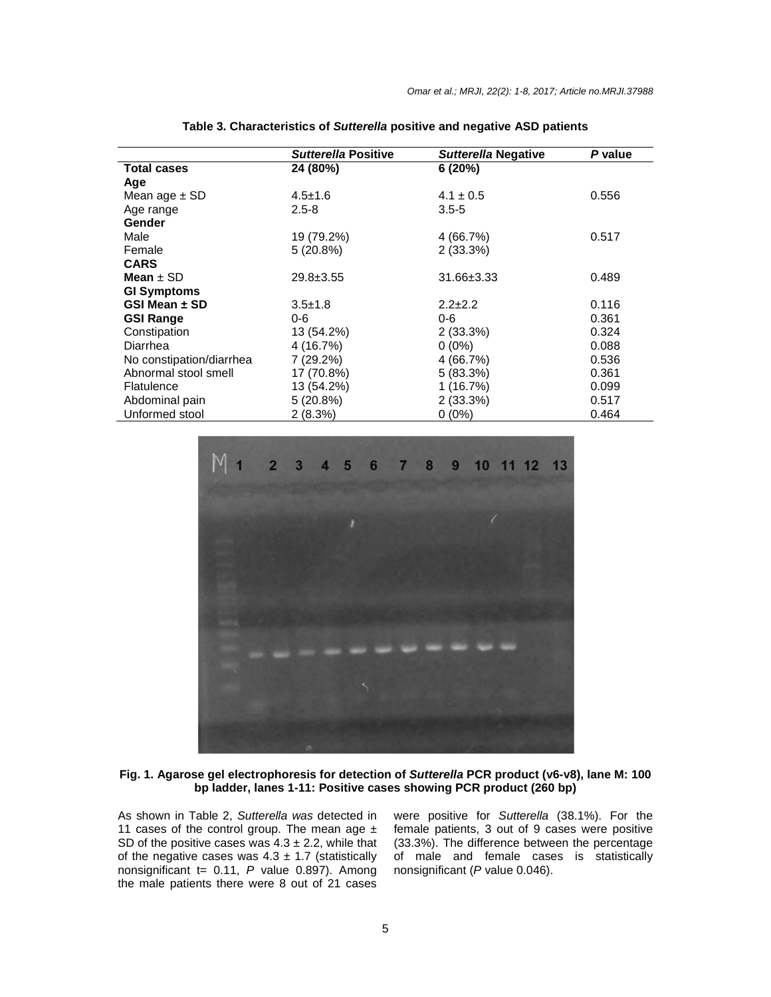|                          | Sutterella Positive | <b>Sutterella Negative</b> | P value |
|--------------------------|---------------------|----------------------------|---------|
| <b>Total cases</b>       | 24 (80%)            | 6(20%)                     |         |
| Age                      |                     |                            |         |
| Mean age $\pm$ SD        | $4.5 \pm 1.6$       | $4.1 \pm 0.5$              | 0.556   |
| Age range                | $2.5 - 8$           | $3.5 - 5$                  |         |
| Gender                   |                     |                            |         |
| Male                     | 19 (79.2%)          | 4 (66.7%)                  | 0.517   |
| Female                   | 5(20.8%)            | 2(33.3%)                   |         |
| <b>CARS</b>              |                     |                            |         |
| Mean $\pm$ SD            | $29.8 \pm 3.55$     | 31.66±3.33                 | 0.489   |
| <b>GI Symptoms</b>       |                     |                            |         |
| GSI Mean ± SD            | $3.5 \pm 1.8$       | $2.2 + 2.2$                | 0.116   |
| <b>GSI Range</b>         | $0 - 6$             | $0 - 6$                    | 0.361   |
| Constipation             | 13 (54.2%)          | 2(33.3%)                   | 0.324   |
| Diarrhea                 | 4 (16.7%)           | $0(0\%)$                   | 0.088   |
| No constipation/diarrhea | 7 (29.2%)           | 4 (66.7%)                  | 0.536   |
| Abnormal stool smell     | 17 (70.8%)          | 5(83.3%)                   | 0.361   |
| Flatulence               | 13 (54.2%)          | 1(16.7%)                   | 0.099   |
| Abdominal pain           | 5(20.8%)            | 2(33.3%)                   | 0.517   |
| Unformed stool           | 2(8.3%)             | $0(0\%)$                   | 0.464   |

| Table 3. Characteristics of Sutterella positive and negative ASD patients |
|---------------------------------------------------------------------------|
|---------------------------------------------------------------------------|



#### **Fig. 1. Agarose gel electrophoresis for detection of Sutterella PCR product (v6-v8), lane M: 100 bp ladder, lanes 1-11: Positive cases showing PCR product (260 bp)**

As shown in Table 2, Sutterella was detected in 11 cases of the control group. The mean age  $\pm$ SD of the positive cases was  $4.3 \pm 2.2$ , while that of the negative cases was  $4.3 \pm 1.7$  (statistically nonsignificant  $t = 0.11$ , P value 0.897). Among the male patients there were 8 out of 21 cases were positive for Sutterella (38.1%). For the female patients, 3 out of 9 cases were positive (33.3%). The difference between the percentage of male and female cases is statistically nonsignificant (P value 0.046).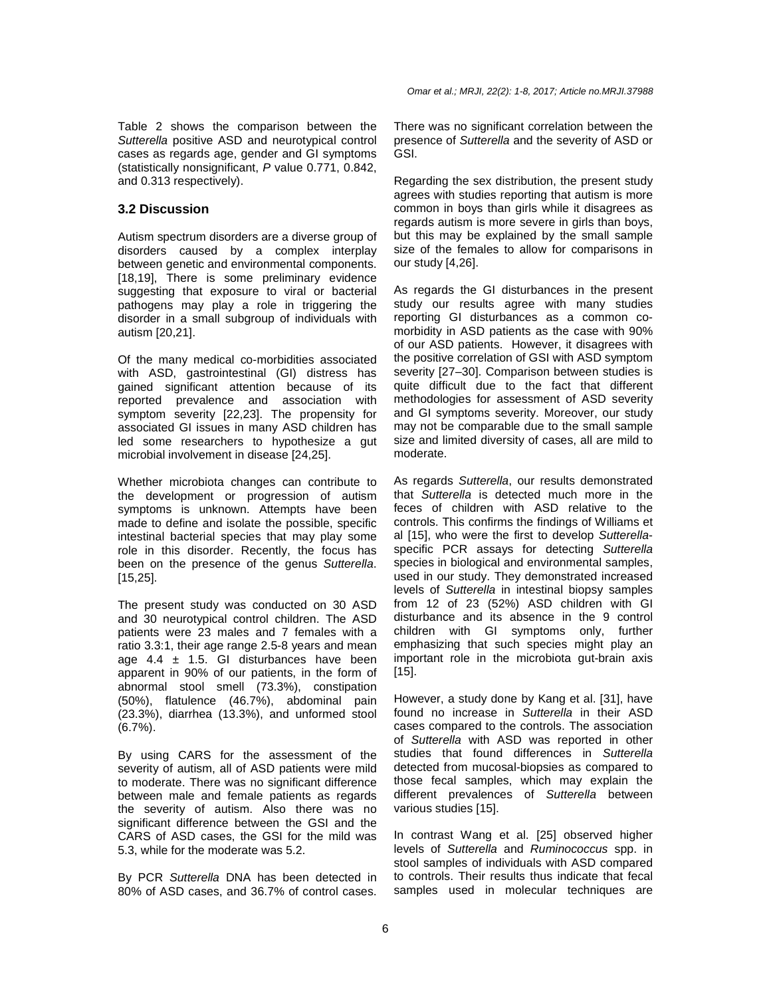Table 2 shows the comparison between the Sutterella positive ASD and neurotypical control cases as regards age, gender and GI symptoms (statistically nonsignificant, P value 0.771, 0.842, and 0.313 respectively).

#### **3.2 Discussion**

Autism spectrum disorders are a diverse group of disorders caused by a complex interplay between genetic and environmental components. [18,19], There is some preliminary evidence suggesting that exposure to viral or bacterial pathogens may play a role in triggering the disorder in a small subgroup of individuals with autism [20,21].

Of the many medical co-morbidities associated with ASD, gastrointestinal (GI) distress has gained significant attention because of its reported prevalence and association with symptom severity [22,23]. The propensity for associated GI issues in many ASD children has led some researchers to hypothesize a gut microbial involvement in disease [24,25].

Whether microbiota changes can contribute to the development or progression of autism symptoms is unknown. Attempts have been made to define and isolate the possible, specific intestinal bacterial species that may play some role in this disorder. Recently, the focus has been on the presence of the genus Sutterella. [15,25].

The present study was conducted on 30 ASD and 30 neurotypical control children. The ASD patients were 23 males and 7 females with a ratio 3.3:1, their age range 2.5-8 years and mean age  $4.4 \pm 1.5$ . GI disturbances have been apparent in 90% of our patients, in the form of abnormal stool smell (73.3%), constipation (50%), flatulence (46.7%), abdominal pain (23.3%), diarrhea (13.3%), and unformed stool (6.7%).

By using CARS for the assessment of the severity of autism, all of ASD patients were mild to moderate. There was no significant difference between male and female patients as regards the severity of autism. Also there was no significant difference between the GSI and the CARS of ASD cases, the GSI for the mild was 5.3, while for the moderate was 5.2.

By PCR Sutterella DNA has been detected in 80% of ASD cases, and 36.7% of control cases. There was no significant correlation between the presence of Sutterella and the severity of ASD or GSI.

Regarding the sex distribution, the present study agrees with studies reporting that autism is more common in boys than girls while it disagrees as regards autism is more severe in girls than boys, but this may be explained by the small sample size of the females to allow for comparisons in our study [4,26].

As regards the GI disturbances in the present study our results agree with many studies reporting GI disturbances as a common comorbidity in ASD patients as the case with 90% of our ASD patients. However, it disagrees with the positive correlation of GSI with ASD symptom severity [27–30]. Comparison between studies is quite difficult due to the fact that different methodologies for assessment of ASD severity and GI symptoms severity. Moreover, our study may not be comparable due to the small sample size and limited diversity of cases, all are mild to moderate.

As regards Sutterella, our results demonstrated that Sutterella is detected much more in the feces of children with ASD relative to the controls. This confirms the findings of Williams et al [15], who were the first to develop Sutterellaspecific PCR assays for detecting Sutterella species in biological and environmental samples, used in our study. They demonstrated increased levels of Sutterella in intestinal biopsy samples from 12 of 23 (52%) ASD children with GI disturbance and its absence in the 9 control children with GI symptoms only, further emphasizing that such species might play an important role in the microbiota gut-brain axis [15].

However, a study done by Kang et al. [31], have found no increase in Sutterella in their ASD cases compared to the controls. The association of Sutterella with ASD was reported in other studies that found differences in Sutterella detected from mucosal-biopsies as compared to those fecal samples, which may explain the different prevalences of Sutterella between various studies [15].

In contrast Wang et al. [25] observed higher levels of Sutterella and Ruminococcus spp. in stool samples of individuals with ASD compared to controls. Their results thus indicate that fecal samples used in molecular techniques are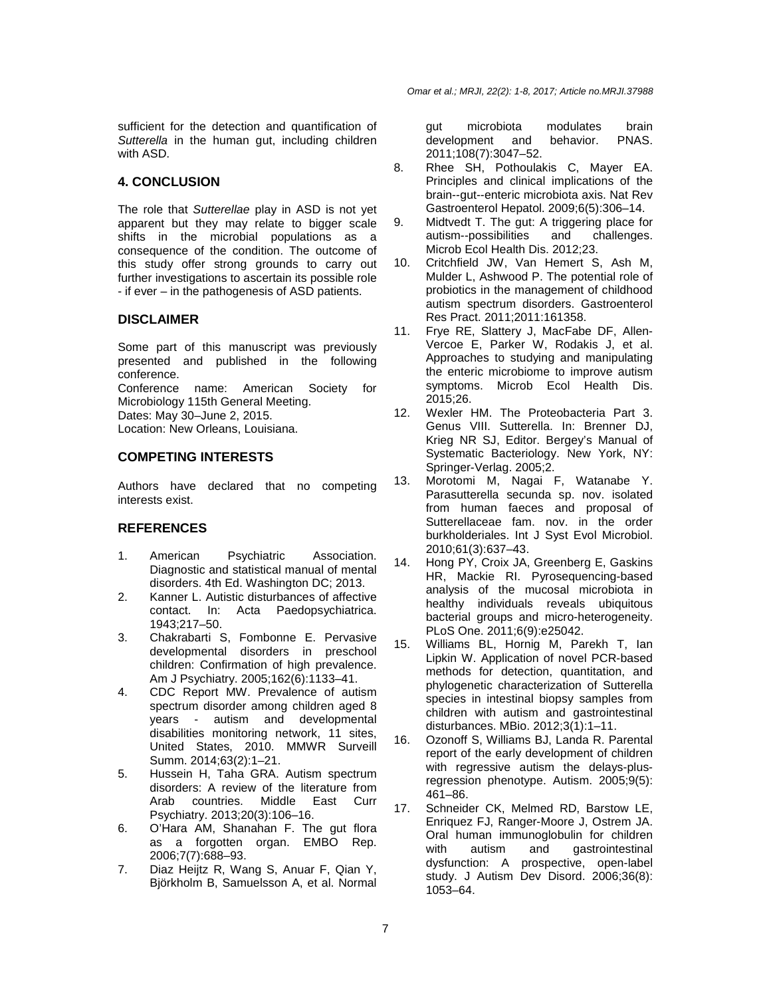sufficient for the detection and quantification of Sutterella in the human gut, including children with ASD.

# **4. CONCLUSION**

The role that Sutterellae play in ASD is not yet apparent but they may relate to bigger scale shifts in the microbial populations as a consequence of the condition. The outcome of this study offer strong grounds to carry out further investigations to ascertain its possible role - if ever – in the pathogenesis of ASD patients.

#### **DISCLAIMER**

Some part of this manuscript was previously presented and published in the following conference. Conference name: American Society for Microbiology 115th General Meeting.

Dates: May 30–June 2, 2015.

Location: New Orleans, Louisiana.

# **COMPETING INTERESTS**

Authors have declared that no competing interests exist.

# **REFERENCES**

- 1. American Psychiatric Association. Diagnostic and statistical manual of mental disorders. 4th Ed. Washington DC; 2013.
- 2. Kanner L. Autistic disturbances of affective contact. In: Acta Paedopsychiatrica. 1943;217–50.
- 3. Chakrabarti S, Fombonne E. Pervasive developmental disorders in preschool children: Confirmation of high prevalence. Am J Psychiatry. 2005;162(6):1133–41.
- 4. CDC Report MW. Prevalence of autism spectrum disorder among children aged 8 years - autism and developmental disabilities monitoring network, 11 sites, United States, 2010. MMWR Surveill Summ. 2014;63(2):1–21.
- 5. Hussein H, Taha GRA. Autism spectrum disorders: A review of the literature from Arab countries. Middle East Curr Psychiatry. 2013;20(3):106–16.
- 6. O'Hara AM, Shanahan F. The gut flora as a forgotten organ. EMBO Rep. 2006;7(7):688–93.
- 7. Diaz Heijtz R, Wang S, Anuar F, Qian Y, Björkholm B, Samuelsson A, et al. Normal

gut microbiota modulates brain development and behavior. PNAS. 2011;108(7):3047–52.

- 8. Rhee SH, Pothoulakis C, Mayer EA. Principles and clinical implications of the brain--gut--enteric microbiota axis. Nat Rev Gastroenterol Hepatol. 2009;6(5):306–14.
- 9. Midtvedt T. The gut: A triggering place for autism--possibilities and challenges. Microb Ecol Health Dis. 2012;23.
- 10. Critchfield JW, Van Hemert S, Ash M, Mulder L, Ashwood P. The potential role of probiotics in the management of childhood autism spectrum disorders. Gastroenterol Res Pract. 2011;2011:161358.
- 11. Frye RE, Slattery J, MacFabe DF, Allen-Vercoe E, Parker W, Rodakis J, et al. Approaches to studying and manipulating the enteric microbiome to improve autism symptoms. Microb Ecol Health Dis. 2015;26.
- 12. Wexler HM. The Proteobacteria Part 3. Genus VIII. Sutterella. In: Brenner DJ, Krieg NR SJ, Editor. Bergey's Manual of Systematic Bacteriology. New York, NY: Springer-Verlag. 2005;2.
- 13. Morotomi M, Nagai F, Watanabe Y. Parasutterella secunda sp. nov. isolated from human faeces and proposal of Sutterellaceae fam. nov. in the order burkholderiales. Int J Syst Evol Microbiol. 2010;61(3):637–43.
- 14. Hong PY, Croix JA, Greenberg E, Gaskins HR, Mackie RI. Pyrosequencing-based analysis of the mucosal microbiota in healthy individuals reveals ubiquitous bacterial groups and micro-heterogeneity. PLoS One. 2011;6(9):e25042.
- 15. Williams BL, Hornig M, Parekh T, Ian Lipkin W. Application of novel PCR-based methods for detection, quantitation, and phylogenetic characterization of Sutterella species in intestinal biopsy samples from children with autism and gastrointestinal disturbances. MBio. 2012;3(1):1–11.
- 16. Ozonoff S, Williams BJ, Landa R. Parental report of the early development of children with regressive autism the delays-plusregression phenotype. Autism. 2005;9(5): 461–86.
- 17. Schneider CK, Melmed RD, Barstow LE, Enriquez FJ, Ranger-Moore J, Ostrem JA. Oral human immunoglobulin for children with autism and gastrointestinal dysfunction: A prospective, open-label study. J Autism Dev Disord. 2006;36(8): 1053–64.